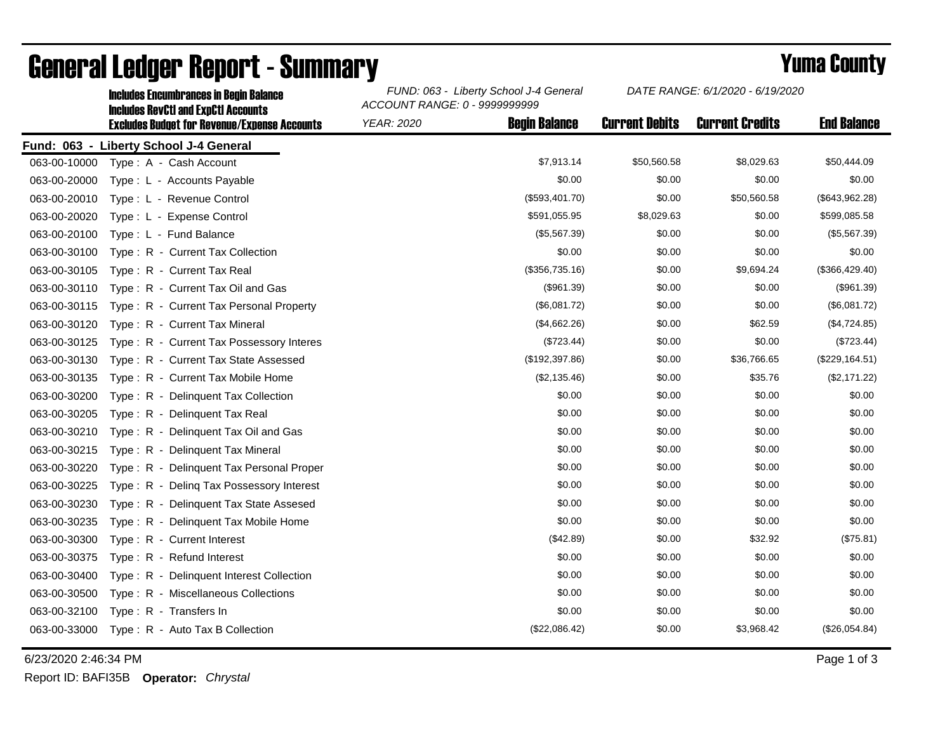|              | IIICIUUCS EIICUIIIDI AIICCS III DCUIII DAIAIICC<br><b>Includes RevCtI and ExpCtI Accounts</b> | ACCOUNT RANGE: 0 - 9999999999 |                      |                       |                        |                    |  |
|--------------|-----------------------------------------------------------------------------------------------|-------------------------------|----------------------|-----------------------|------------------------|--------------------|--|
|              | <b>Excludes Budget for Revenue/Expense Accounts</b>                                           | <b>YEAR: 2020</b>             | <b>Begin Balance</b> | <b>Current Debits</b> | <b>Current Credits</b> | <b>End Balance</b> |  |
|              | Fund: 063 - Liberty School J-4 General                                                        |                               |                      |                       |                        |                    |  |
| 063-00-10000 | Type: A - Cash Account                                                                        |                               | \$7,913.14           | \$50,560.58           | \$8,029.63             | \$50,444.09        |  |
| 063-00-20000 | Type: L - Accounts Payable                                                                    |                               | \$0.00               | \$0.00                | \$0.00                 | \$0.00             |  |
| 063-00-20010 | Type: L - Revenue Control                                                                     |                               | (\$593,401.70)       | \$0.00                | \$50,560.58            | (\$643,962.28)     |  |
| 063-00-20020 | Type: L - Expense Control                                                                     |                               | \$591,055.95         | \$8,029.63            | \$0.00                 | \$599,085.58       |  |
| 063-00-20100 | Type: L - Fund Balance                                                                        |                               | (\$5,567.39)         | \$0.00                | \$0.00                 | (\$5,567.39)       |  |
| 063-00-30100 | Type: R - Current Tax Collection                                                              |                               | \$0.00               | \$0.00                | \$0.00                 | \$0.00             |  |
| 063-00-30105 | Type: R - Current Tax Real                                                                    |                               | (\$356,735.16)       | \$0.00                | \$9,694.24             | (\$366,429.40)     |  |
| 063-00-30110 | Type: R - Current Tax Oil and Gas                                                             |                               | (\$961.39)           | \$0.00                | \$0.00                 | (\$961.39)         |  |
| 063-00-30115 | Type: R - Current Tax Personal Property                                                       |                               | (\$6,081.72)         | \$0.00                | \$0.00                 | (\$6,081.72)       |  |
| 063-00-30120 | Type: R - Current Tax Mineral                                                                 |                               | (\$4,662.26)         | \$0.00                | \$62.59                | (\$4,724.85)       |  |
| 063-00-30125 | Type: R - Current Tax Possessory Interes                                                      |                               | (\$723.44)           | \$0.00                | \$0.00                 | (\$723.44)         |  |
| 063-00-30130 | Type: R - Current Tax State Assessed                                                          |                               | (\$192,397.86)       | \$0.00                | \$36,766.65            | (\$229, 164.51)    |  |
| 063-00-30135 | Type: R - Current Tax Mobile Home                                                             |                               | (\$2,135.46)         | \$0.00                | \$35.76                | (\$2,171.22)       |  |
| 063-00-30200 | Type: R - Delinguent Tax Collection                                                           |                               | \$0.00               | \$0.00                | \$0.00                 | \$0.00             |  |
| 063-00-30205 | Type: R - Delinquent Tax Real                                                                 |                               | \$0.00               | \$0.00                | \$0.00                 | \$0.00             |  |
| 063-00-30210 | Type: R - Delinquent Tax Oil and Gas                                                          |                               | \$0.00               | \$0.00                | \$0.00                 | \$0.00             |  |
| 063-00-30215 | Type: R - Delinguent Tax Mineral                                                              |                               | \$0.00               | \$0.00                | \$0.00                 | \$0.00             |  |
| 063-00-30220 | Type: R - Delinquent Tax Personal Proper                                                      |                               | \$0.00               | \$0.00                | \$0.00                 | \$0.00             |  |
| 063-00-30225 | Type: R - Deling Tax Possessory Interest                                                      |                               | \$0.00               | \$0.00                | \$0.00                 | \$0.00             |  |
| 063-00-30230 | Type: R - Delinquent Tax State Assesed                                                        |                               | \$0.00               | \$0.00                | \$0.00                 | \$0.00             |  |
| 063-00-30235 | Type: R - Delinquent Tax Mobile Home                                                          |                               | \$0.00               | \$0.00                | \$0.00                 | \$0.00             |  |
| 063-00-30300 | Type: R - Current Interest                                                                    |                               | (\$42.89)            | \$0.00                | \$32.92                | (\$75.81)          |  |
| 063-00-30375 | Type: R - Refund Interest                                                                     |                               | \$0.00               | \$0.00                | \$0.00                 | \$0.00             |  |
| 063-00-30400 | Type: R - Delinquent Interest Collection                                                      |                               | \$0.00               | \$0.00                | \$0.00                 | \$0.00             |  |
| 063-00-30500 | Type: R - Miscellaneous Collections                                                           |                               | \$0.00               | \$0.00                | \$0.00                 | \$0.00             |  |
| 063-00-32100 | Type: R - Transfers In                                                                        |                               | \$0.00               | \$0.00                | \$0.00                 | \$0.00             |  |
| 063-00-33000 | Type: R - Auto Tax B Collection                                                               |                               | (\$22,086.42)        | \$0.00                | \$3,968.42             | (\$26,054.84)      |  |

## General Ledger Report - Summary **Example 2018** Yuma County

Includes Encumbrances in Begin Balance *FUND: 063 - Liberty School J-4 General*

6/23/2020 2:46:34 PM Page 1 of 3

Report ID: BAFI35B **Operator:** *Chrystal*

*DATE RANGE: 6/1/2020 - 6/19/2020*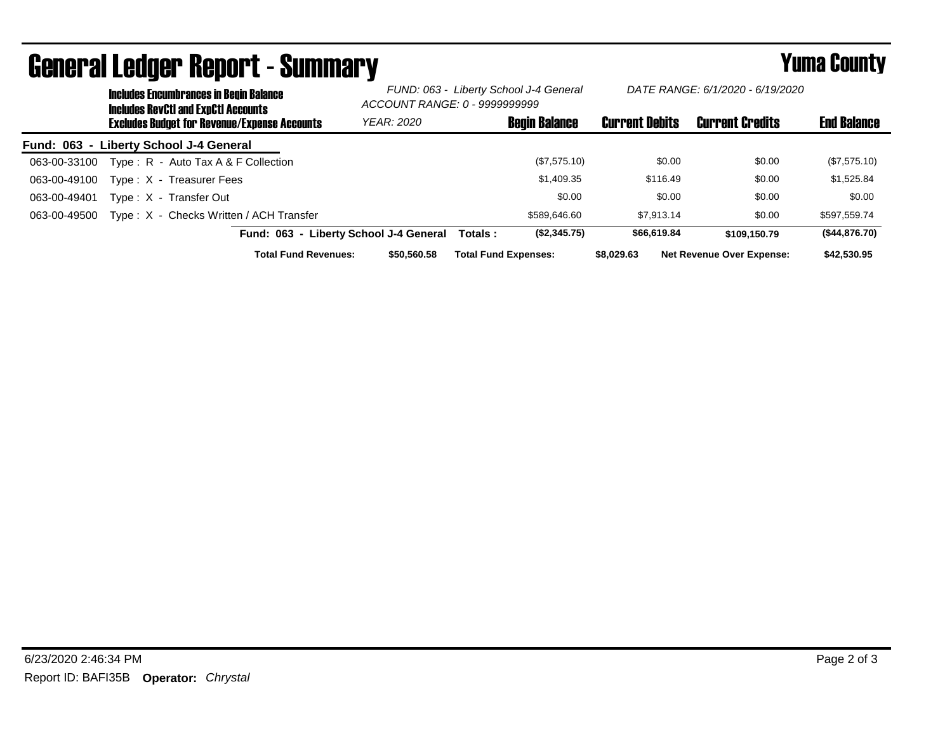|                                        |                                                     | wonoi ui sougoi nopol t<br><b>Includes Encumbrances in Begin Balance</b><br><b>Includes RevCtI and ExpCtI Accounts</b> | ____________                           | FUND: 063 - Liberty School J-4 General<br>ACCOUNT RANGE: 0 - 9999999999 |                             | DATE RANGE: 6/1/2020 - 6/19/2020 |                        |                                  |               |
|----------------------------------------|-----------------------------------------------------|------------------------------------------------------------------------------------------------------------------------|----------------------------------------|-------------------------------------------------------------------------|-----------------------------|----------------------------------|------------------------|----------------------------------|---------------|
|                                        | <b>Excludes Budget for Revenue/Expense Accounts</b> |                                                                                                                        | <b>YEAR: 2020</b>                      |                                                                         | <b>Begin Balance</b>        | <b>Current Debits</b>            | <b>Current Credits</b> | <b>End Balance</b>               |               |
| Fund: 063 - Liberty School J-4 General |                                                     |                                                                                                                        |                                        |                                                                         |                             |                                  |                        |                                  |               |
| 063-00-33100                           |                                                     | Type: $R -$ Auto Tax A & F Collection                                                                                  |                                        |                                                                         |                             | (\$7,575.10)                     | \$0.00                 | \$0.00                           | (\$7,575.10)  |
| 063-00-49100                           |                                                     | Type: X - Treasurer Fees                                                                                               |                                        |                                                                         |                             | \$1,409.35                       | \$116.49               | \$0.00                           | \$1,525.84    |
| 063-00-49401                           |                                                     | Type: X - Transfer Out                                                                                                 |                                        |                                                                         |                             | \$0.00                           | \$0.00                 | \$0.00                           | \$0.00        |
| 063-00-49500                           |                                                     | Type: X - Checks Written / ACH Transfer                                                                                |                                        |                                                                         |                             | \$589.646.60                     | \$7,913.14             | \$0.00                           | \$597.559.74  |
|                                        |                                                     |                                                                                                                        | Fund: 063 - Liberty School J-4 General |                                                                         | Totals :                    | (\$2,345.75)                     | \$66,619.84            | \$109,150.79                     | (\$44,876.70) |
|                                        |                                                     |                                                                                                                        | <b>Total Fund Revenues:</b>            | \$50,560,58                                                             | <b>Total Fund Expenses:</b> |                                  | \$8.029.63             | <b>Net Revenue Over Expense:</b> | \$42,530.95   |

## General Ledger Report - Summary **Example 2018** Yuma County